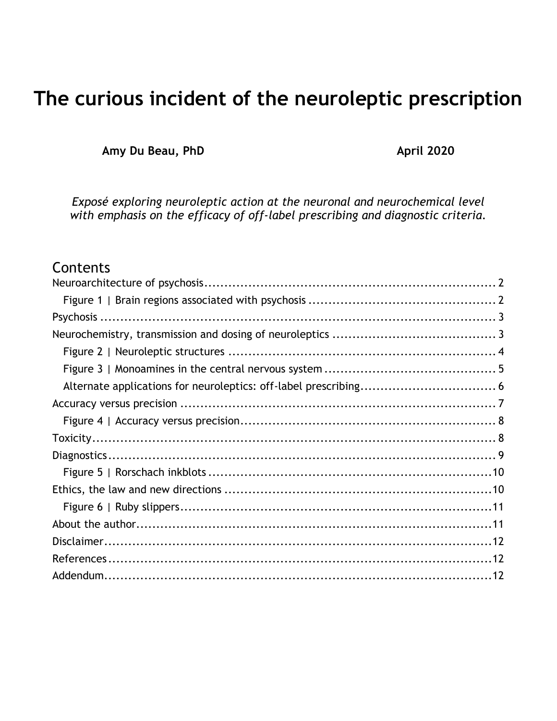# **The curious incident of the neuroleptic prescription**

Amy Du Beau, PhD **April 2020** 

*Exposé exploring neuroleptic action at the neuronal and neurochemical level with emphasis on the efficacy of off-label prescribing and diagnostic criteria.*

## **Contents**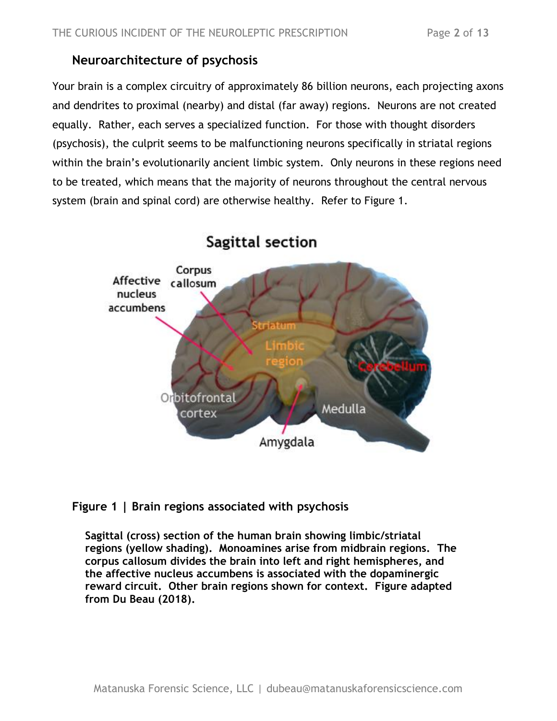### <span id="page-1-0"></span>**Neuroarchitecture of psychosis**

Your brain is a complex circuitry of approximately 86 billion neurons, each projecting axons and dendrites to proximal (nearby) and distal (far away) regions. Neurons are not created equally. Rather, each serves a specialized function. For those with thought disorders (psychosis), the culprit seems to be malfunctioning neurons specifically in striatal regions within the brain's evolutionarily ancient limbic system. Only neurons in these regions need to be treated, which means that the majority of neurons throughout the central nervous system (brain and spinal cord) are otherwise healthy. Refer to Figure 1.



## Sagittal section

#### <span id="page-1-1"></span>**Figure 1 | Brain regions associated with psychosis**

**Sagittal (cross) section of the human brain showing limbic/striatal regions (yellow shading). Monoamines arise from midbrain regions. The corpus callosum divides the brain into left and right hemispheres, and the affective nucleus accumbens is associated with the dopaminergic reward circuit. Other brain regions shown for context. Figure adapted from Du Beau (2018).**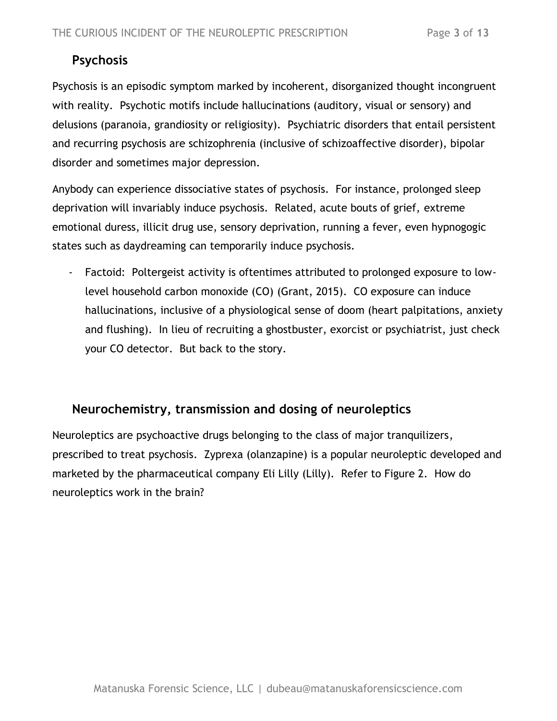## <span id="page-2-0"></span>**Psychosis**

Psychosis is an episodic symptom marked by incoherent, disorganized thought incongruent with reality. Psychotic motifs include hallucinations (auditory, visual or sensory) and delusions (paranoia, grandiosity or religiosity). Psychiatric disorders that entail persistent and recurring psychosis are schizophrenia (inclusive of schizoaffective disorder), bipolar disorder and sometimes major depression.

Anybody can experience dissociative states of psychosis. For instance, prolonged sleep deprivation will invariably induce psychosis. Related, acute bouts of grief, extreme emotional duress, illicit drug use, sensory deprivation, running a fever, even hypnogogic states such as daydreaming can temporarily induce psychosis.

- Factoid: Poltergeist activity is oftentimes attributed to prolonged exposure to lowlevel household carbon monoxide (CO) (Grant, 2015). CO exposure can induce hallucinations, inclusive of a physiological sense of doom (heart palpitations, anxiety and flushing). In lieu of recruiting a ghostbuster, exorcist or psychiatrist, just check your CO detector. But back to the story.

#### <span id="page-2-1"></span>**Neurochemistry, transmission and dosing of neuroleptics**

Neuroleptics are psychoactive drugs belonging to the class of major tranquilizers, prescribed to treat psychosis. Zyprexa (olanzapine) is a popular neuroleptic developed and marketed by the pharmaceutical company Eli Lilly (Lilly). Refer to Figure 2. How do neuroleptics work in the brain?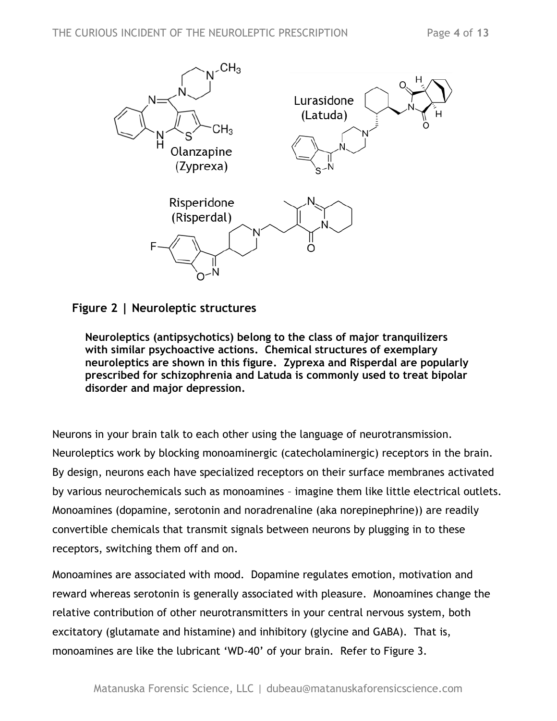

<span id="page-3-0"></span>**Figure 2 | Neuroleptic structures**

**Neuroleptics (antipsychotics) belong to the class of major tranquilizers with similar psychoactive actions. Chemical structures of exemplary neuroleptics are shown in this figure. Zyprexa and Risperdal are popularly prescribed for schizophrenia and Latuda is commonly used to treat bipolar disorder and major depression.** 

Neurons in your brain talk to each other using the language of neurotransmission. Neuroleptics work by blocking monoaminergic (catecholaminergic) receptors in the brain. By design, neurons each have specialized receptors on their surface membranes activated by various neurochemicals such as monoamines – imagine them like little electrical outlets. Monoamines (dopamine, serotonin and noradrenaline (aka norepinephrine)) are readily convertible chemicals that transmit signals between neurons by plugging in to these receptors, switching them off and on.

Monoamines are associated with mood. Dopamine regulates emotion, motivation and reward whereas serotonin is generally associated with pleasure. Monoamines change the relative contribution of other neurotransmitters in your central nervous system, both excitatory (glutamate and histamine) and inhibitory (glycine and GABA). That is, monoamines are like the lubricant 'WD-40' of your brain. Refer to Figure 3.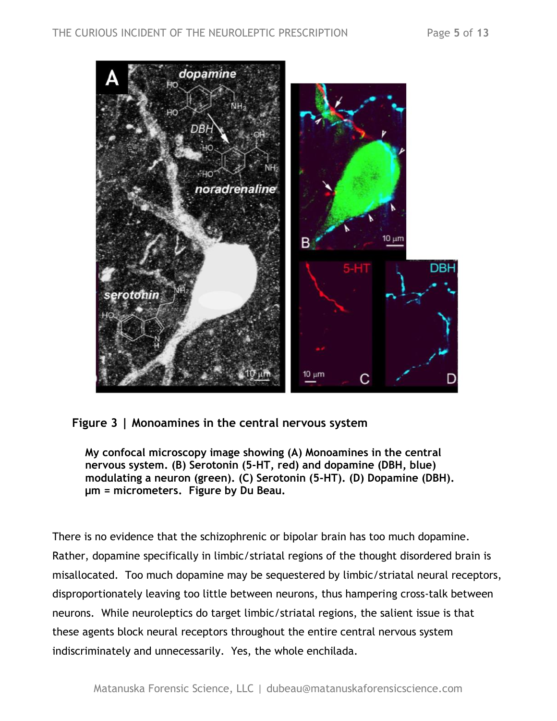

<span id="page-4-0"></span>**Figure 3 | Monoamines in the central nervous system**

**My confocal microscopy image showing (A) Monoamines in the central nervous system. (B) Serotonin (5-HT, red) and dopamine (DBH, blue) modulating a neuron (green). (C) Serotonin (5-HT). (D) Dopamine (DBH). μm = micrometers. Figure by Du Beau.** 

There is no evidence that the schizophrenic or bipolar brain has too much dopamine. Rather, dopamine specifically in limbic/striatal regions of the thought disordered brain is misallocated. Too much dopamine may be sequestered by limbic/striatal neural receptors, disproportionately leaving too little between neurons, thus hampering cross-talk between neurons. While neuroleptics do target limbic/striatal regions, the salient issue is that these agents block neural receptors throughout the entire central nervous system indiscriminately and unnecessarily. Yes, the whole enchilada.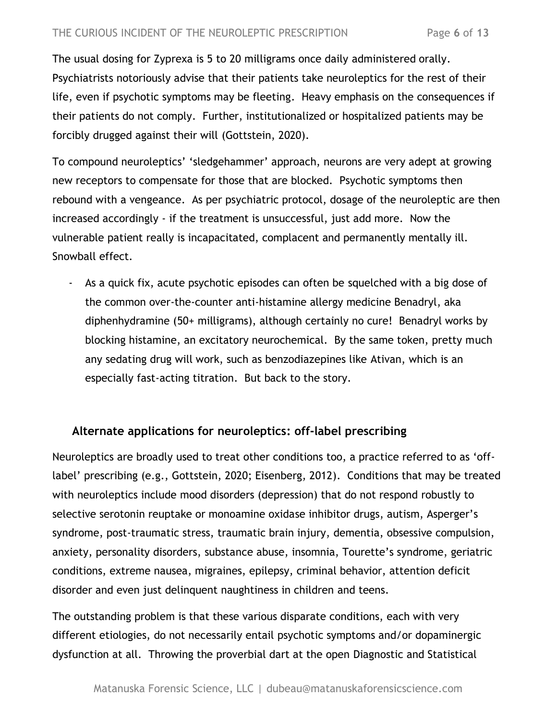The usual dosing for Zyprexa is 5 to 20 milligrams once daily administered orally. Psychiatrists notoriously advise that their patients take neuroleptics for the rest of their life, even if psychotic symptoms may be fleeting. Heavy emphasis on the consequences if their patients do not comply. Further, institutionalized or hospitalized patients may be forcibly drugged against their will (Gottstein, 2020).

To compound neuroleptics' 'sledgehammer' approach, neurons are very adept at growing new receptors to compensate for those that are blocked. Psychotic symptoms then rebound with a vengeance. As per psychiatric protocol, dosage of the neuroleptic are then increased accordingly - if the treatment is unsuccessful, just add more. Now the vulnerable patient really is incapacitated, complacent and permanently mentally ill. Snowball effect.

- As a quick fix, acute psychotic episodes can often be squelched with a big dose of the common over-the-counter anti-histamine allergy medicine Benadryl, aka diphenhydramine (50+ milligrams), although certainly no cure! Benadryl works by blocking histamine, an excitatory neurochemical. By the same token, pretty much any sedating drug will work, such as benzodiazepines like Ativan, which is an especially fast-acting titration. But back to the story.

#### <span id="page-5-0"></span>**Alternate applications for neuroleptics: off-label prescribing**

Neuroleptics are broadly used to treat other conditions too, a practice referred to as 'offlabel' prescribing (e.g., Gottstein, 2020; Eisenberg, 2012). Conditions that may be treated with neuroleptics include mood disorders (depression) that do not respond robustly to selective serotonin reuptake or monoamine oxidase inhibitor drugs, autism, Asperger's syndrome, post-traumatic stress, traumatic brain injury, dementia, obsessive compulsion, anxiety, personality disorders, substance abuse, insomnia, Tourette's syndrome, geriatric conditions, extreme nausea, migraines, epilepsy, criminal behavior, attention deficit disorder and even just delinquent naughtiness in children and teens.

The outstanding problem is that these various disparate conditions, each with very different etiologies, do not necessarily entail psychotic symptoms and/or dopaminergic dysfunction at all. Throwing the proverbial dart at the open Diagnostic and Statistical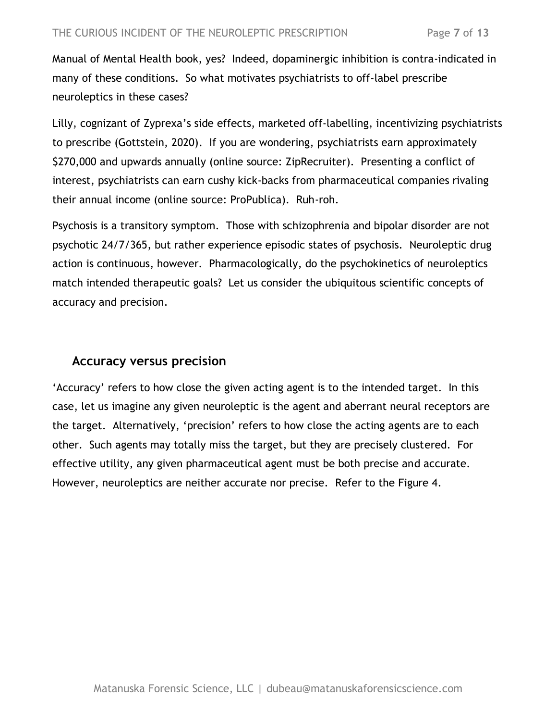Manual of Mental Health book, yes? Indeed, dopaminergic inhibition is contra-indicated in many of these conditions. So what motivates psychiatrists to off-label prescribe neuroleptics in these cases?

Lilly, cognizant of Zyprexa's side effects, marketed off-labelling, incentivizing psychiatrists to prescribe (Gottstein, 2020). If you are wondering, psychiatrists earn approximately \$270,000 and upwards annually (online source: ZipRecruiter). Presenting a conflict of interest, psychiatrists can earn cushy kick-backs from pharmaceutical companies rivaling their annual income (online source: ProPublica). Ruh-roh.

Psychosis is a transitory symptom. Those with schizophrenia and bipolar disorder are not psychotic 24/7/365, but rather experience episodic states of psychosis. Neuroleptic drug action is continuous, however. Pharmacologically, do the psychokinetics of neuroleptics match intended therapeutic goals? Let us consider the ubiquitous scientific concepts of accuracy and precision.

#### <span id="page-6-0"></span>**Accuracy versus precision**

'Accuracy' refers to how close the given acting agent is to the intended target. In this case, let us imagine any given neuroleptic is the agent and aberrant neural receptors are the target. Alternatively, 'precision' refers to how close the acting agents are to each other. Such agents may totally miss the target, but they are precisely clustered. For effective utility, any given pharmaceutical agent must be both precise and accurate. However, neuroleptics are neither accurate nor precise. Refer to the Figure 4.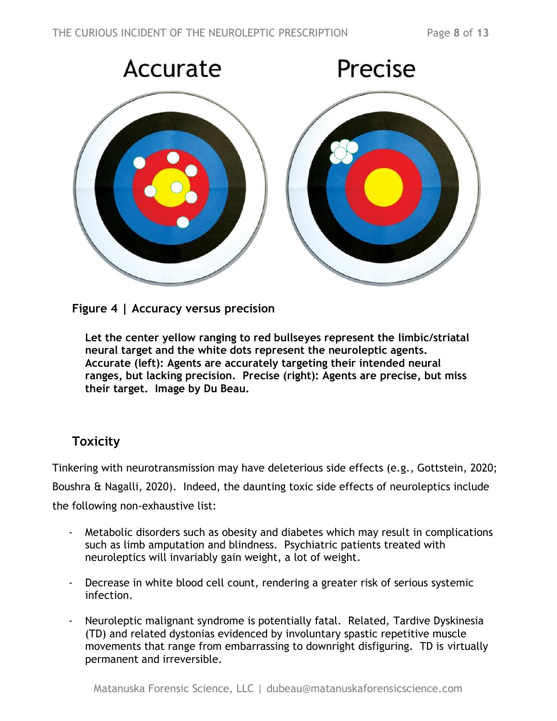

**Figure 4 | Accuracy versus precision**

<span id="page-7-0"></span>**Let the center yellow ranging to red bullseyes represent the limbic/striatal neural target and the white dots represent the neuroleptic agents. Accurate (left): Agents are accurately targeting their intended neural ranges, but lacking precision. Precise (right): Agents are precise, but miss their target. Image by Du Beau.**

## <span id="page-7-1"></span>**Toxicity**

Tinkering with neurotransmission may have deleterious side effects (e.g., Gottstein, 2020; Boushra & Nagalli, 2020). Indeed, the daunting toxic side effects of neuroleptics include the following non-exhaustive list:

- Metabolic disorders such as obesity and diabetes which may result in complications such as limb amputation and blindness. Psychiatric patients treated with neuroleptics will invariably gain weight, a lot of weight.
- Decrease in white blood cell count, rendering a greater risk of serious systemic infection.
- Neuroleptic malignant syndrome is potentially fatal. Related, Tardive Dyskinesia (TD) and related dystonias evidenced by involuntary spastic repetitive muscle movements that range from embarrassing to downright disfiguring. TD is virtually permanent and irreversible.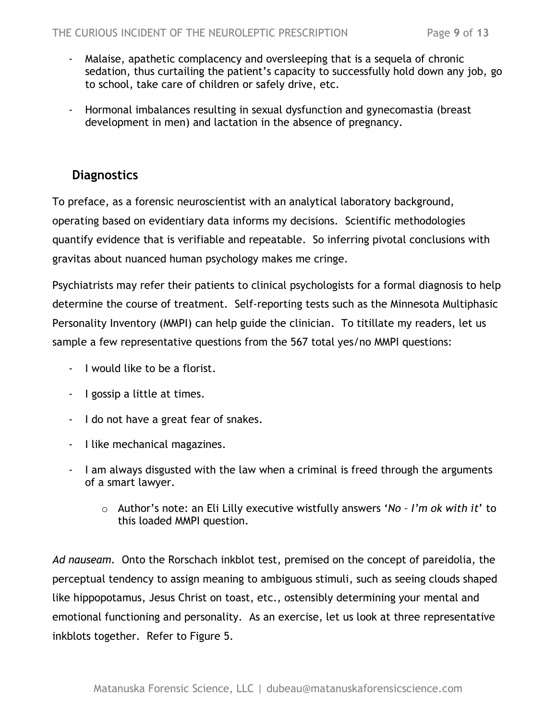- Malaise, apathetic complacency and oversleeping that is a sequela of chronic sedation, thus curtailing the patient's capacity to successfully hold down any job, go to school, take care of children or safely drive, etc.
- Hormonal imbalances resulting in sexual dysfunction and gynecomastia (breast development in men) and lactation in the absence of pregnancy.

#### <span id="page-8-0"></span>**Diagnostics**

To preface, as a forensic neuroscientist with an analytical laboratory background, operating based on evidentiary data informs my decisions. Scientific methodologies quantify evidence that is verifiable and repeatable. So inferring pivotal conclusions with gravitas about nuanced human psychology makes me cringe.

Psychiatrists may refer their patients to clinical psychologists for a formal diagnosis to help determine the course of treatment. Self-reporting tests such as the Minnesota Multiphasic Personality Inventory (MMPI) can help guide the clinician. To titillate my readers, let us sample a few representative questions from the 567 total yes/no MMPI questions:

- I would like to be a florist.
- I gossip a little at times.
- I do not have a great fear of snakes.
- I like mechanical magazines.
- I am always disgusted with the law when a criminal is freed through the arguments of a smart lawyer.
	- o Author's note: an Eli Lilly executive wistfully answers '*No – I'm ok with it*' to this loaded MMPI question.

*Ad nauseam.* Onto the Rorschach inkblot test, premised on the concept of pareidolia, the perceptual tendency to assign meaning to ambiguous stimuli, such as seeing clouds shaped like hippopotamus, Jesus Christ on toast, etc., ostensibly determining your mental and emotional functioning and personality. As an exercise, let us look at three representative inkblots together. Refer to Figure 5.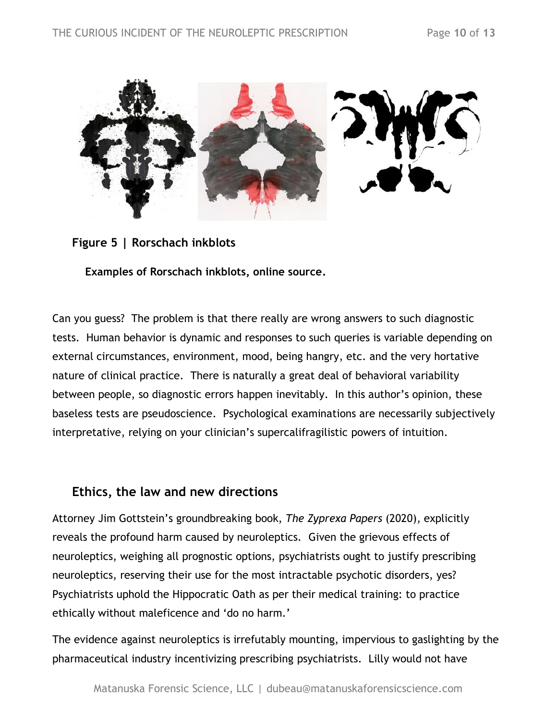

**Figure 5 | Rorschach inkblots**

<span id="page-9-0"></span>**Examples of Rorschach inkblots, online source.** 

Can you guess? The problem is that there really are wrong answers to such diagnostic tests. Human behavior is dynamic and responses to such queries is variable depending on external circumstances, environment, mood, being hangry, etc. and the very hortative nature of clinical practice. There is naturally a great deal of behavioral variability between people, so diagnostic errors happen inevitably. In this author's opinion, these baseless tests are pseudoscience. Psychological examinations are necessarily subjectively interpretative, relying on your clinician's supercalifragilistic powers of intuition.

## <span id="page-9-1"></span>**Ethics, the law and new directions**

Attorney Jim Gottstein's groundbreaking book, *The Zyprexa Papers* (2020), explicitly reveals the profound harm caused by neuroleptics. Given the grievous effects of neuroleptics, weighing all prognostic options, psychiatrists ought to justify prescribing neuroleptics, reserving their use for the most intractable psychotic disorders, yes? Psychiatrists uphold the Hippocratic Oath as per their medical training: to practice ethically without maleficence and 'do no harm.'

The evidence against neuroleptics is irrefutably mounting, impervious to gaslighting by the pharmaceutical industry incentivizing prescribing psychiatrists. Lilly would not have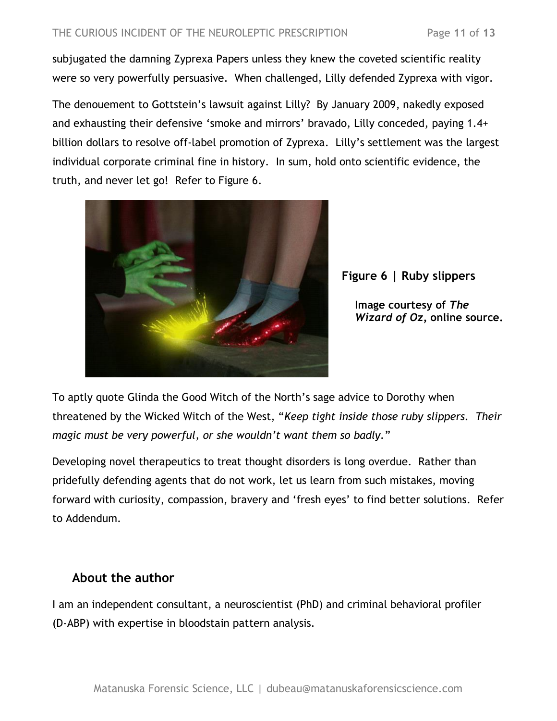subjugated the damning Zyprexa Papers unless they knew the coveted scientific reality were so very powerfully persuasive. When challenged, Lilly defended Zyprexa with vigor.

The denouement to Gottstein's lawsuit against Lilly? By January 2009, nakedly exposed and exhausting their defensive 'smoke and mirrors' bravado, Lilly conceded, paying 1.4+ billion dollars to resolve off-label promotion of Zyprexa. Lilly's settlement was the largest individual corporate criminal fine in history. In sum, hold onto scientific evidence, the truth, and never let go! Refer to Figure 6.





**Image courtesy of** *The Wizard of Oz,* **online source.**

To aptly quote Glinda the Good Witch of the North's sage advice to Dorothy when threatened by the Wicked Witch of the West, "*Keep tight inside those ruby slippers. Their magic must be very powerful, or she wouldn't want them so badly.*"

Developing novel therapeutics to treat thought disorders is long overdue. Rather than pridefully defending agents that do not work, let us learn from such mistakes, moving forward with curiosity, compassion, bravery and 'fresh eyes' to find better solutions. Refer to Addendum.

## <span id="page-10-0"></span>**About the author**

I am an independent consultant, a neuroscientist (PhD) and criminal behavioral profiler (D-ABP) with expertise in bloodstain pattern analysis.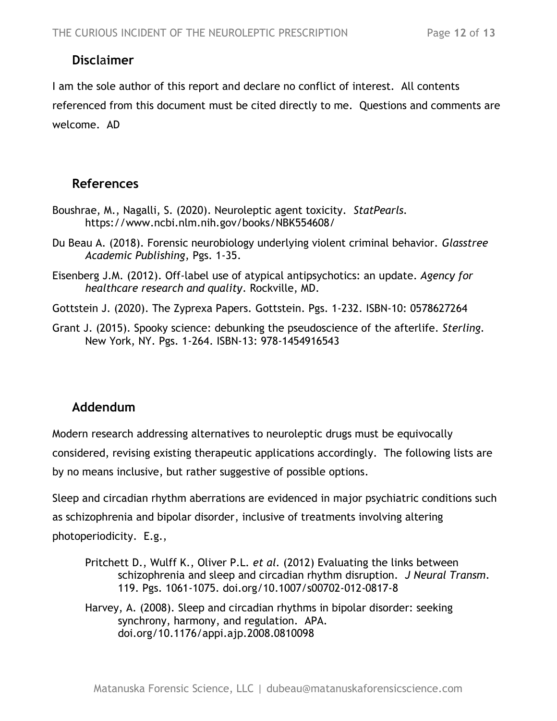#### <span id="page-11-0"></span>**Discl**a**imer**

I am the sole author of this report and declare no conflict of interest. All contents referenced from this document must be cited directly to me. Questions and comments are welcome. AD

#### <span id="page-11-1"></span>**References**

- Boushrae, M., Nagalli, S. (2020). Neuroleptic agent toxicity. *StatPearls.* https://www.ncbi.nlm.nih.gov/books/NBK554608/
- Du Beau A. (2018). Forensic neurobiology underlying violent criminal behavior. *Glasstree Academic Publishing*, Pgs. 1-35.
- Eisenberg J.M. (2012). Off-label use of atypical antipsychotics: an update. *Agency for healthcare research and quality*. Rockville, MD.
- Gottstein J. (2020). The Zyprexa Papers. Gottstein. Pgs. 1-232. ISBN-10: 0578627264
- Grant J. (2015). Spooky science: debunking the pseudoscience of the afterlife. *Sterling.* New York, NY. Pgs. 1-264. ISBN-13: 978-1454916543

#### <span id="page-11-2"></span>**Addendum**

Modern research addressing alternatives to neuroleptic drugs must be equivocally considered, revising existing therapeutic applications accordingly. The following lists are by no means inclusive, but rather suggestive of possible options.

Sleep and circadian rhythm aberrations are evidenced in major psychiatric conditions such as schizophrenia and bipolar disorder, inclusive of treatments involving altering photoperiodicity. E.g.,

- Pritchett D., Wulff K., Oliver P.L. *et al.* (2012) Evaluating the links between schizophrenia and sleep and circadian rhythm disruption. *J Neural Transm*. 119. Pgs. 1061-1075. doi.org/10.1007/s00702-012-0817-8
- Harvey, A. (2008). Sleep and circadian rhythms in bipolar disorder: seeking synchrony, harmony, and regulation. APA. doi.org/10.1176/appi.ajp.2008.0810098